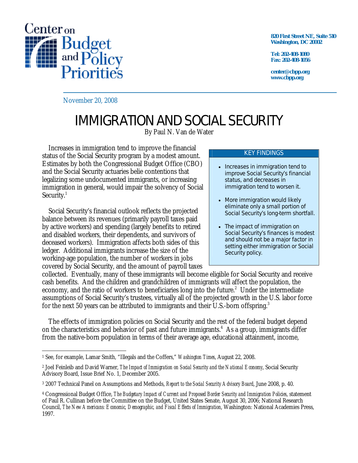

**820 First Street NE, Suite 510 Washington, DC 20002** 

**Tel: 202-408-1080 Fax: 202-408-1056** 

**center@cbpp.org www.cbpp.org** 

November 20, 2008

## IMMIGRATION AND SOCIAL SECURITY

By Paul N. Van de Water

 Increases in immigration tend to improve the financial status of the Social Security program by a modest amount. Estimates by both the Congressional Budget Office (CBO) and the Social Security actuaries belie contentions that legalizing some undocumented immigrants, or increasing immigration in general, would impair the solvency of Social Security.<sup>1</sup>

 Social Security's financial outlook reflects the projected balance between its revenues (primarily payroll taxes paid by active workers) and spending (largely benefits to retired and disabled workers, their dependents, and survivors of deceased workers). Immigration affects both sides of this ledger. Additional immigrants increase the size of the working-age population, the number of workers in jobs covered by Social Security, and the amount of payroll taxes

## KEY FINDINGS

- Increases in immigration tend to improve Social Security's financial status, and decreases in immigration tend to worsen it.
- More immigration would likely eliminate only a small portion of Social Security's long-term shortfall.
- The impact of immigration on Social Security's finances is modest and should not be a major factor in setting either immigration or Social Security policy.

collected. Eventually, many of these immigrants will become eligible for Social Security and receive cash benefits. And the children and grandchildren of immigrants will affect the population, the economy, and the ratio of workers to beneficiaries long into the future.<sup>2</sup> Under the intermediate assumptions of Social Security's trustees, virtually all of the projected growth in the U.S. labor force for the next 50 years can be attributed to immigrants and their U.S.-born offspring.<sup>3</sup>

 The effects of immigration policies on Social Security and the rest of the federal budget depend on the characteristics and behavior of past and future immigrants.<sup>4</sup> As a group, immigrants differ from the native-born population in terms of their average age, educational attainment, income,

<sup>-</sup>1 See, for example, Lamar Smith, "Illegals and the Coffers," *Washington Times*, August 22, 2008.

<sup>2</sup> Joel Feinleib and David Warner, *The Impact of Immigration on Social Security and the National Economy*, Social Security Advisory Board, Issue Brief No. 1, December 2005.

<sup>3 2007</sup> Technical Panel on Assumptions and Methods, *Report to the Social Security Advisory Board*, June 2008, p. 40.

<sup>4</sup> Congressional Budget Office, *The Budgetary Impact of Current and Proposed Border Security and Immigration Policies*, statement of Paul R. Cullinan before the Committee on the Budget, United States Senate, August 30, 2006; National Research Council, *The New Americans: Economic, Demographic, and Fiscal Effects of Immigration*, Washington: National Academies Press, 1997.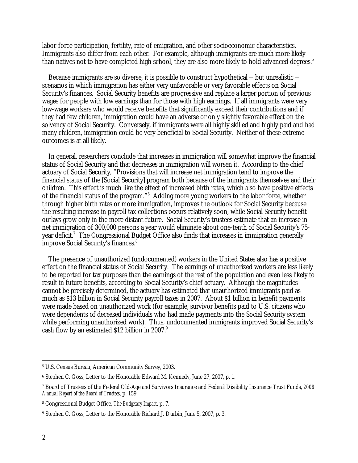labor-force participation, fertility, rate of emigration, and other socioeconomic characteristics. Immigrants also differ from each other. For example, although immigrants are much more likely than natives not to have completed high school, they are also more likely to hold advanced degrees.<sup>5</sup>

Because immigrants are so diverse, it is possible to construct hypothetical  $-$  but unrealistic  $$ scenarios in which immigration has either very unfavorable or very favorable effects on Social Security's finances. Social Security benefits are progressive and replace a larger portion of previous wages for people with low earnings than for those with high earnings. If all immigrants were very low-wage workers who would receive benefits that significantly exceed their contributions and if they had few children, immigration could have an adverse or only slightly favorable effect on the solvency of Social Security. Conversely, if immigrants were all highly skilled and highly paid and had many children, immigration could be very beneficial to Social Security. Neither of these extreme outcomes is at all likely.

 In general, researchers conclude that increases in immigration will somewhat improve the financial status of Social Security and that decreases in immigration will worsen it. According to the chief actuary of Social Security, "Provisions that will increase net immigration tend to improve the financial status of the [Social Security] program both because of the immigrants themselves and their children. This effect is much like the effect of increased birth rates, which also have positive effects of the financial status of the program."<sup>6</sup> Adding more young workers to the labor force, whether through higher birth rates or more immigration, improves the outlook for Social Security because the resulting increase in payroll tax collections occurs relatively soon, while Social Security benefit outlays grow only in the more distant future. Social Security's trustees estimate that an increase in net immigration of 300,000 persons a year would eliminate about one-tenth of Social Security's 75 year deficit.<sup>7</sup> The Congressional Budget Office also finds that increases in immigration generally improve Social Security's finances.8

 The presence of unauthorized (undocumented) workers in the United States also has a positive effect on the financial status of Social Security. The earnings of unauthorized workers are less likely to be reported for tax purposes than the earnings of the rest of the population and even less likely to result in future benefits, according to Social Security's chief actuary. Although the magnitudes cannot be precisely determined, the actuary has estimated that unauthorized immigrants paid as much as \$13 billion in Social Security payroll taxes in 2007. About \$1 billion in benefit payments were made based on unauthorized work (for example, survivor benefits paid to U.S. citizens who were dependents of deceased individuals who had made payments into the Social Security system while performing unauthorized work). Thus, undocumented immigrants improved Social Security's cash flow by an estimated \$12 billion in 2007.<sup>9</sup>

 $\overline{a}$ 

<sup>5</sup> U.S. Census Bureau, American Community Survey, 2003.

<sup>6</sup> Stephen C. Goss, Letter to the Honorable Edward M. Kennedy, June 27, 2007, p. 1.

<sup>7</sup> Board of Trustees of the Federal Old-Age and Survivors Insurance and Federal Disability Insurance Trust Funds, *2008 Annual Report of the Board of Trustees*, p. 159.

<sup>8</sup> Congressional Budget Office, *The Budgetary Impact*, p. 7.

<sup>9</sup> Stephen C. Goss, Letter to the Honorable Richard J. Durbin, June 5, 2007, p. 3.